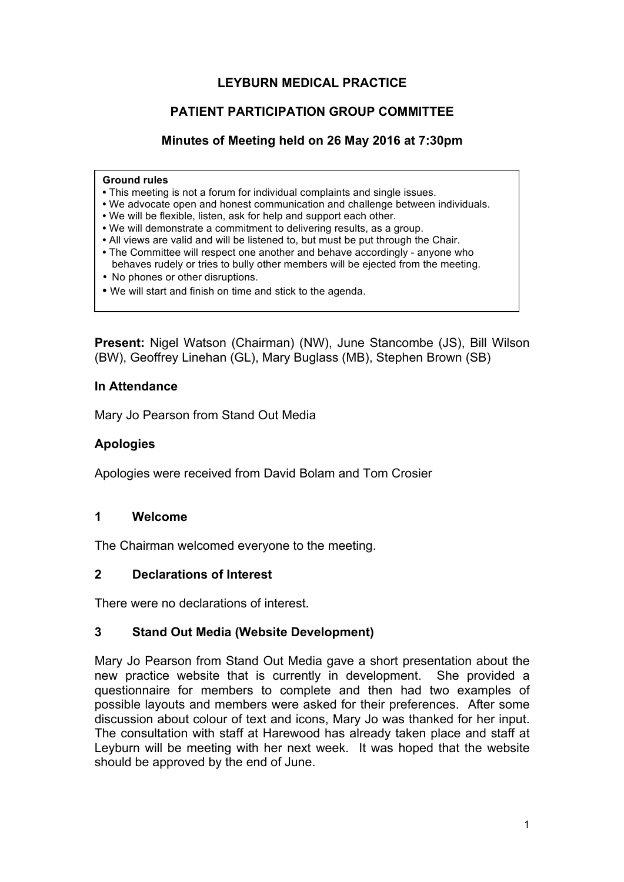## **LEYBURN MEDICAL PRACTICE**

## **PATIENT PARTICIPATION GROUP COMMITTEE**

## **Minutes of Meeting held on 26 May 2016 at 7:30pm**

#### **Ground rules**

- This meeting is not a forum for individual complaints and single issues.
- We advocate open and honest communication and challenge between individuals.
- We will be flexible, listen, ask for help and support each other.
- We will demonstrate a commitment to delivering results, as a group.
- All views are valid and will be listened to, but must be put through the Chair.
- The Committee will respect one another and behave accordingly anyone who behaves rudely or tries to bully other members will be ejected from the meeting.
- No phones or other disruptions.
- We will start and finish on time and stick to the agenda.

**Present:** Nigel Watson (Chairman) (NW), June Stancombe (JS), Bill Wilson (BW), Geoffrey Linehan (GL), Mary Buglass (MB), Stephen Brown (SB)

### **In Attendance**

Mary Jo Pearson from Stand Out Media

### **Apologies**

Apologies were received from David Bolam and Tom Crosier

### **1 Welcome**

The Chairman welcomed everyone to the meeting.

### **2 Declarations of Interest**

There were no declarations of interest.

## **3 Stand Out Media (Website Development)**

Mary Jo Pearson from Stand Out Media gave a short presentation about the new practice website that is currently in development. She provided a questionnaire for members to complete and then had two examples of possible layouts and members were asked for their preferences. After some discussion about colour of text and icons, Mary Jo was thanked for her input. The consultation with staff at Harewood has already taken place and staff at Leyburn will be meeting with her next week. It was hoped that the website should be approved by the end of June.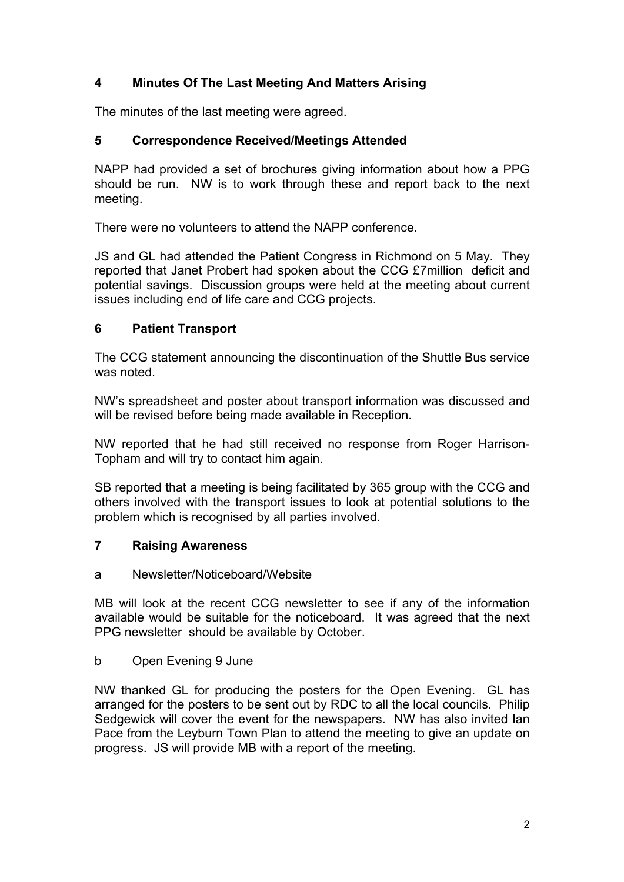# **4 Minutes Of The Last Meeting And Matters Arising**

The minutes of the last meeting were agreed.

## **5 Correspondence Received/Meetings Attended**

NAPP had provided a set of brochures giving information about how a PPG should be run. NW is to work through these and report back to the next meeting.

There were no volunteers to attend the NAPP conference.

JS and GL had attended the Patient Congress in Richmond on 5 May. They reported that Janet Probert had spoken about the CCG £7million deficit and potential savings. Discussion groups were held at the meeting about current issues including end of life care and CCG projects.

## **6 Patient Transport**

The CCG statement announcing the discontinuation of the Shuttle Bus service was noted.

NW's spreadsheet and poster about transport information was discussed and will be revised before being made available in Reception.

NW reported that he had still received no response from Roger Harrison-Topham and will try to contact him again.

SB reported that a meeting is being facilitated by 365 group with the CCG and others involved with the transport issues to look at potential solutions to the problem which is recognised by all parties involved.

## **7 Raising Awareness**

## a Newsletter/Noticeboard/Website

MB will look at the recent CCG newsletter to see if any of the information available would be suitable for the noticeboard. It was agreed that the next PPG newsletter should be available by October.

b Open Evening 9 June

NW thanked GL for producing the posters for the Open Evening. GL has arranged for the posters to be sent out by RDC to all the local councils. Philip Sedgewick will cover the event for the newspapers. NW has also invited Ian Pace from the Leyburn Town Plan to attend the meeting to give an update on progress. JS will provide MB with a report of the meeting.